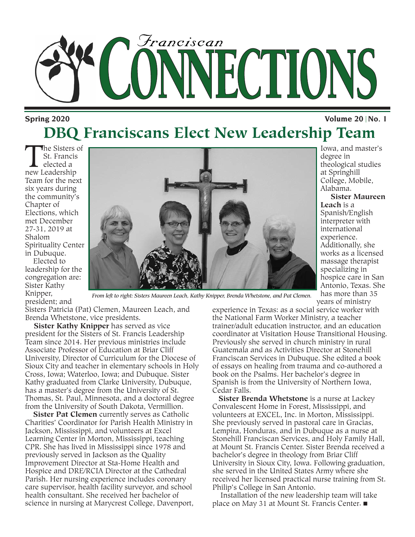

### **Spring 2020 DBQ Franciscans Elect New Leadership Team**

The Sisters of<br>St. Francis<br>elected a<br>new Leadership St. Francis elected a Team for the next six years during the community's Chapter of Elections, which met December 27-31, 2019 at Shalom Spirituality Center in Dubuque.

Elected to leadership for the congregation are: Sister Kathy Knipper, president; and



*From left to right: Sisters Maureen Leach, Kathy Knipper, Brenda Whetstone, and Pat Clemen.*

Sisters Patricia (Pat) Clemen, Maureen Leach, and Brenda Whetstone, vice presidents.

**Sister Kathy Knipper** has served as vice president for the Sisters of St. Francis Leadership Team since 2014. Her previous ministries include Associate Professor of Education at Briar Cliff University, Director of Curriculum for the Diocese of Sioux City and teacher in elementary schools in Holy Cross, Iowa; Waterloo, Iowa; and Dubuque. Sister Kathy graduated from Clarke University, Dubuque, has a master's degree from the University of St. Thomas, St. Paul, Minnesota, and a doctoral degree from the University of South Dakota, Vermillion.

**Sister Pat Clemen** currently serves as Catholic Charities' Coordinator for Parish Health Ministry in Jackson, Mississippi, and volunteers at Excel Learning Center in Morton, Mississippi, teaching CPR. She has lived in Mississippi since 1978 and previously served in Jackson as the Quality Improvement Director at Sta-Home Health and Hospice and DRE/RCIA Director at the Cathedral Parish. Her nursing experience includes coronary care supervisor, health facility surveyor, and school health consultant. She received her bachelor of science in nursing at Marycrest College, Davenport, experience in Texas: as a social service worker with the National Farm Worker Ministry, a teacher trainer/adult education instructor, and an education coordinator at Visitation House Transitional Housing. Previously she served in church ministry in rural Guatemala and as Activities Director at Stonehill Franciscan Services in Dubuque. She edited a book of essays on healing from trauma and co-authored a book on the Psalms. Her bachelor's degree in Spanish is from the University of Northern Iowa, Cedar Falls.

**Sister Brenda Whetstone** is a nurse at Lackey Convalescent Home in Forest, Mississippi, and volunteers at EXCEL, Inc. in Morton, Mississippi. She previously served in pastoral care in Gracias, Lempira, Honduras, and in Dubuque as a nurse at Stonehill Franciscan Services, and Holy Family Hall, at Mount St. Francis Center. Sister Brenda received a bachelor's degree in theology from Briar Cliff University in Sioux City, Iowa. Following graduation, she served in the United States Army where she received her licensed practical nurse training from St. Philip's College in San Antonio.

Installation of the new leadership team will take place on May 31 at Mount St. Francis Center.  $\blacksquare$ 

**Volume 20 No. 1**

Iowa, and master's degree in theological studies at Springhill College, Mobile, Alabama. **Sister Maureen**

**Leach** is a Spanish/English interpreter with international experience. Additionally, she works as a licensed massage therapist specializing in hospice care in San Antonio, Texas. She has more than 35 years of ministry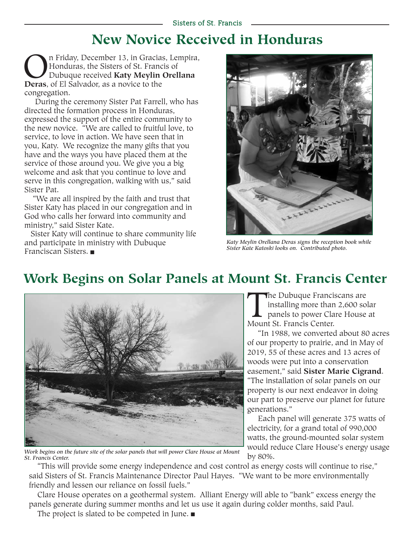## **New Novice Received in Honduras**

**On Friday, December 13, in Gracias, Lempira,**<br>Honduras, the Sisters of St. Francis of<br>Dubuque received **Katy Meylin Orellana**<br>**Deras**, of El Salvador, as a novice to the Honduras, the Sisters of St. Francis of Dubuque received **Katy Meylin Orellana Deras**, of El Salvador, as a novice to the congregation.

During the ceremony Sister Pat Farrell, who has directed the formation process in Honduras, expressed the support of the entire community to the new novice. "We are called to fruitful love, to service, to love in action. We have seen that in you, Katy. We recognize the many gifts that you have and the ways you have placed them at the service of those around you. We give you a big welcome and ask that you continue to love and serve in this congregation, walking with us," said Sister Pat.

"We are all inspired by the faith and trust that Sister Katy has placed in our congregation and in God who calls her forward into community and ministry," said Sister Kate.

Sister Katy will continue to share community life and participate in ministry with Dubuque Franciscan Sisters.  $\blacksquare$ 



*Katy Meylin Orellana Deras signs the reception book while Sister Kate Katoski looks on. Contributed photo.*

## **Work Begins on Solar Panels at Mount St. Francis Center**



*Work begins on the future site of the solar panels that will power Clare House at Mount St. Francis Center.*

The Dubuque Franciscans are<br>installing more than 2,600 so<br>panels to power Clare House<br>Mount St. Francis Center. installing more than 2,600 solar panels to power Clare House at Mount St. Francis Center.

"In 1988, we converted about 80 acres of our property to prairie, and in May of 2019, 55 of these acres and 13 acres of woods were put into a conservation easement," said **Sister Marie Cigrand**. "The installation of solar panels on our property is our next endeavor in doing our part to preserve our planet for future generations."

Each panel will generate 375 watts of electricity, for a grand total of 990,000 watts, the ground-mounted solar system would reduce Clare House's energy usage by 80%.

"This will provide some energy independence and cost control as energy costs will continue to rise," said Sisters of St. Francis Maintenance Director Paul Hayes. "We want to be more environmentally friendly and lessen our reliance on fossil fuels."

Clare House operates on a geothermal system. Alliant Energy will able to "bank" excess energy the panels generate during summer months and let us use it again during colder months, said Paul. The project is slated to be competed in June.  $\blacksquare$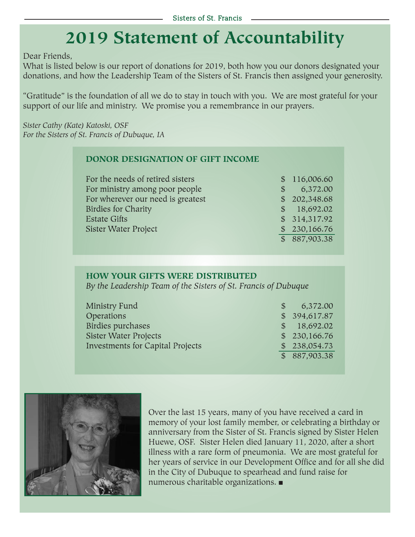## **2019 Statement of Accountability**

Dear Friends,

What is listed below is our report of donations for 2019, both how you our donors designated your donations, and how the Leadership Team of the Sisters of St. Francis then assigned your generosity.

"Gratitude" is the foundation of all we do to stay in touch with you. We are most grateful for your support of our life and ministry. We promise you a remembrance in our prayers.

*Sister Cathy (Kate) Katoski, OSF For the Sisters of St. Francis of Dubuque, IA*

#### **DONOR DESIGNATION OF GIFT INCOME**

| For the needs of retired sisters  |   | \$116,006.60 |
|-----------------------------------|---|--------------|
| For ministry among poor people    | S | 6,372.00     |
| For wherever our need is greatest |   | \$202,348.68 |
| <b>Birdies for Charity</b>        |   | \$18,692.02  |
| <b>Estate Gifts</b>               |   | \$314,317.92 |
| Sister Water Project              |   | \$230,166.76 |
|                                   |   | \$887,903.38 |

#### **HOW YOUR GIFTS WERE DISTRIBUTED**

*By the Leadership Team of the Sisters of St. Francis of Dubuque*

| Ministry Fund                           | <sup>S</sup> | 6,372.00      |
|-----------------------------------------|--------------|---------------|
| Operations                              |              | \$ 394,617.87 |
| Birdies purchases                       |              | \$18,692.02   |
| <b>Sister Water Projects</b>            |              | \$230,166.76  |
| <b>Investments for Capital Projects</b> |              | \$238,054.73  |
|                                         |              | \$887,903.38  |



Over the last 15 years, many of you have received a card in memory of your lost family member, or celebrating a birthday or anniversary from the Sister of St. Francis signed by Sister Helen Huewe, OSF. Sister Helen died January 11, 2020, after a short illness with a rare form of pneumonia. We are most grateful for her years of service in our Development Office and for all she did in the City of Dubuque to spearhead and fund raise for numerous charitable organizations.  $\blacksquare$